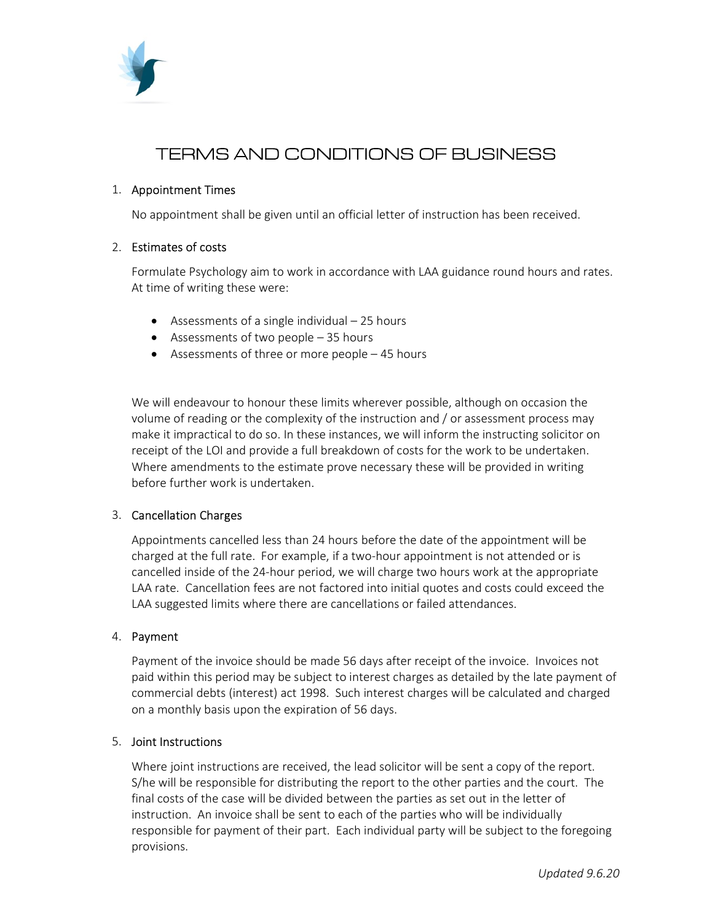

# TERMS AND CONDITIONS OF BUSINESS

## 1. Appointment Times

No appointment shall be given until an official letter of instruction has been received.

#### 2. Estimates of costs

Formulate Psychology aim to work in accordance with LAA guidance round hours and rates. At time of writing these were:

- Assessments of a single individual  $-25$  hours
- Assessments of two people 35 hours
- Assessments of three or more people 45 hours

We will endeavour to honour these limits wherever possible, although on occasion the volume of reading or the complexity of the instruction and / or assessment process may make it impractical to do so. In these instances, we will inform the instructing solicitor on receipt of the LOI and provide a full breakdown of costs for the work to be undertaken. Where amendments to the estimate prove necessary these will be provided in writing before further work is undertaken.

## 3. Cancellation Charges

Appointments cancelled less than 24 hours before the date of the appointment will be charged at the full rate. For example, if a two-hour appointment is not attended or is cancelled inside of the 24-hour period, we will charge two hours work at the appropriate LAA rate. Cancellation fees are not factored into initial quotes and costs could exceed the LAA suggested limits where there are cancellations or failed attendances.

#### 4. Payment

Payment of the invoice should be made 56 days after receipt of the invoice. Invoices not paid within this period may be subject to interest charges as detailed by the late payment of commercial debts (interest) act 1998. Such interest charges will be calculated and charged on a monthly basis upon the expiration of 56 days.

#### 5. Joint Instructions

Where joint instructions are received, the lead solicitor will be sent a copy of the report. S/he will be responsible for distributing the report to the other parties and the court. The final costs of the case will be divided between the parties as set out in the letter of instruction. An invoice shall be sent to each of the parties who will be individually responsible for payment of their part. Each individual party will be subject to the foregoing provisions.